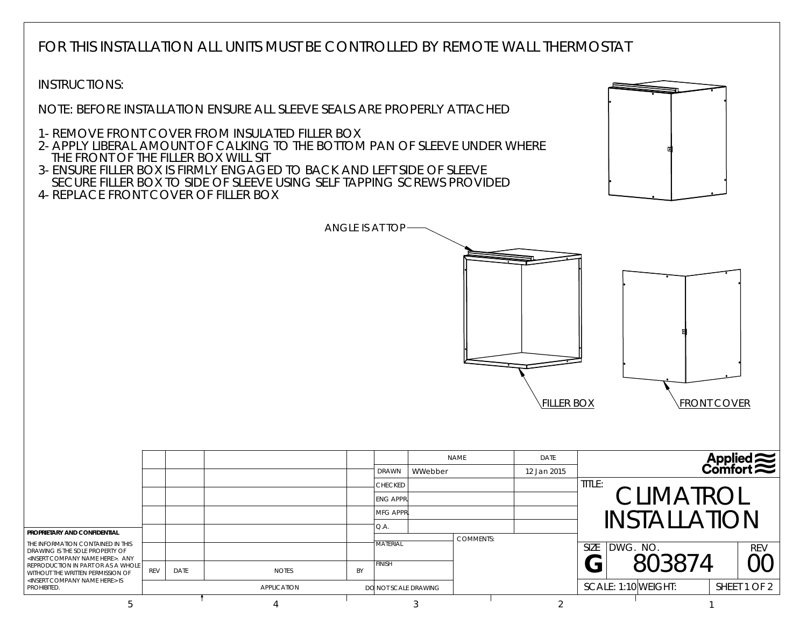FOR THIS INSTALLATION ALL UNITS MUST BE CONTROLLED BY REMOTE WALL THERMOSTAT

ANGLE IS AT TOP

INSTRUCTIONS:

NOTE: BEFORE INSTALLATION ENSURE ALL SLEEVE SEALS ARE PROPERLY ATTACHED

1- REMOVE FRONT COVER FROM INSULATED FILLER BOX

2- APPLY LIBERAL AMOUNT OF CALKING TO THE BOTTOM PAN OF SLEEVE UNDER WHERETHE FRONT OF THE FILLER BOX WILL SIT

3- ENSURE FILLER BOX IS FIRMLY ENGAGED TO BACK AND LEFT SIDE OF SLEEVESECURE FILLER BOX TO SIDE OF SLEEVE USING SELF TAPPING SCREWS PROVIDED

4- REPLACE FRONT COVER OF FILLER BOX





|                                                                                                                                                                                                                                                                                                                     |     |      |                    |    | <b>DRAWN</b>                                                 | WWebber | <b>NAME</b>      | DATE<br>12 Jan 2015 |                                                   |                    |  | <b>Applied</b> |  |
|---------------------------------------------------------------------------------------------------------------------------------------------------------------------------------------------------------------------------------------------------------------------------------------------------------------------|-----|------|--------------------|----|--------------------------------------------------------------|---------|------------------|---------------------|---------------------------------------------------|--------------------|--|----------------|--|
| <b>PROPRIETARY AND CONFIDENTIAL</b><br>THE INFORMATION CONTAINED IN THIS<br>DRAWING IS THE SOLE PROPERTY OF<br><insert company="" here="" name="">. ANY<br/>REPRODUCTION IN PART OR AS A WHOLE I<br/>WITHOUT THE WRITTEN PERMISSION OF<br/><insert company="" here="" name=""> IS<br/>PROHIBITED.</insert></insert> |     |      |                    |    | <b>CHECKED</b><br><b>ENG APPR.</b><br><b>MFG APPR</b><br>Q.A |         |                  |                     | TITLE:<br><b>CLIMATROL</b><br><b>INSTALLATION</b> |                    |  |                |  |
|                                                                                                                                                                                                                                                                                                                     | REV | DATE | <b>NOTES</b>       | BY | <b>MATERIAL</b><br><b>FINISH</b>                             |         | <b>COMMENTS:</b> |                     | <b>SIZE</b>                                       | DWG. NO.<br>803874 |  | <b>REV</b>     |  |
|                                                                                                                                                                                                                                                                                                                     |     |      | <b>APPLICATION</b> |    | DO NOT SCALE DRAWING                                         |         |                  |                     | SCALE: 1:10 WEIGHT:                               |                    |  | SHEET 1 OF 2   |  |